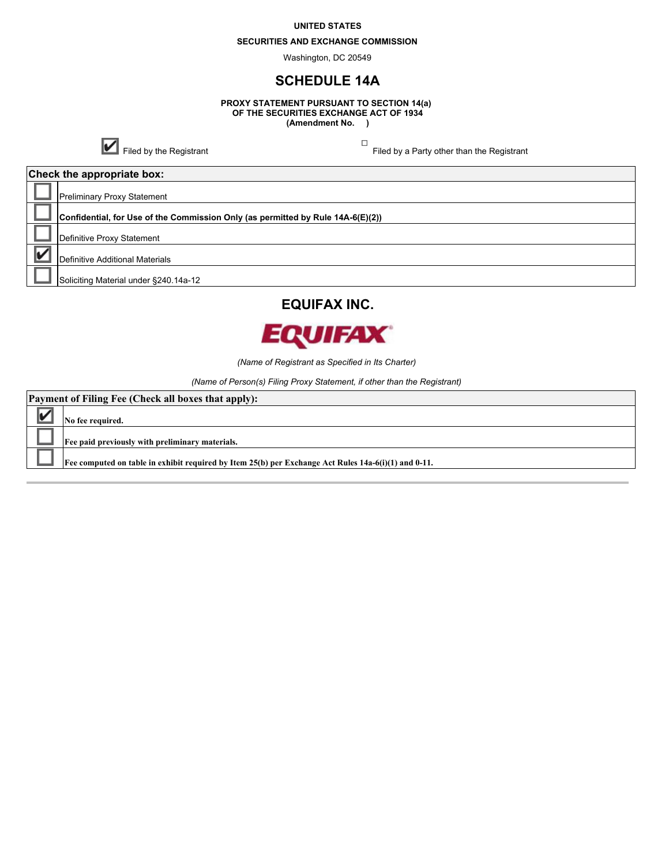#### **UNITED STATES**

#### **SECURITIES AND EXCHANGE COMMISSION**

Washington, DC 20549

## **SCHEDULE 14A**

**PROXY STATEMENT PURSUANT TO SECTION 14(a) OF THE SECURITIES EXCHANGE ACT OF 1934 (Amendment No. )**

**T**<br>Filed by the Registrant Filed by a Party other than the Registrant

**Check the appropriate box:**

| Crieck the appropriate box: |                                                                                 |  |
|-----------------------------|---------------------------------------------------------------------------------|--|
|                             | <b>Preliminary Proxy Statement</b>                                              |  |
|                             | Confidential, for Use of the Commission Only (as permitted by Rule 14A-6(E)(2)) |  |
|                             | Definitive Proxy Statement                                                      |  |
|                             | Definitive Additional Materials                                                 |  |
|                             | Soliciting Material under §240.14a-12                                           |  |
|                             |                                                                                 |  |





*(Name of Registrant as Specified in Its Charter)*

*(Name of Person(s) Filing Proxy Statement, if other than the Registrant)*

| <b>Payment of Filing Fee (Check all boxes that apply):</b> |                                                                                                      |  |  |
|------------------------------------------------------------|------------------------------------------------------------------------------------------------------|--|--|
|                                                            | No fee required.                                                                                     |  |  |
|                                                            | Fee paid previously with preliminary materials.                                                      |  |  |
|                                                            | Fee computed on table in exhibit required by Item 25(b) per Exchange Act Rules 14a-6(i)(1) and 0-11. |  |  |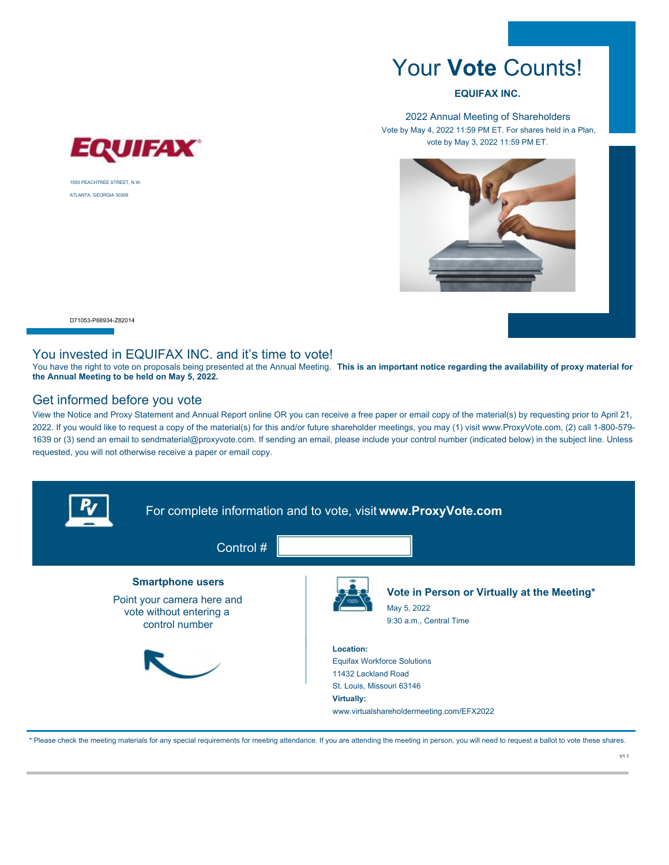# Your **Vote** Counts!

#### **EQUIFAX INC.**

2022 Annual Meeting of Shareholders Vote by May 4, 2022 11:59 PM ET. For shares held in a Plan, vote by May 3, 2022 11:59 PM ET.



1550 PEACHTREE STREET, N.W. ATLANTA, GEORGIA 30309

EQUIFAX

D71053-P68934-Z82014

#### You invested in EQUIFAX INC. and it's time to vote!

You have the right to vote on proposals being presented at the Annual Meeting. This is an important notice regarding the availability of proxy material for **the Annual Meeting to be held on May 5, 2022.**

### Get informed before you vote

View the Notice and Proxy Statement and Annual Report online OR you can receive a free paper or email copy of the material(s) by requesting prior to April 21, 2022. If you would like to request a copy of the material(s) for this and/or future shareholder meetings, you may (1) visit www.ProxyVote.com, (2) call 1-800-579- 1639 or (3) send an email to sendmaterial@proxyvote.com. If sending an email, please include your control number (indicated below) in the subject line. Unless requested, you will not otherwise receive a paper or email copy.



\* Please check the meeting materials for any special requirements for meeting attendance. If you are attending the meeting in person, you will need to request a ballot to vote these shares.